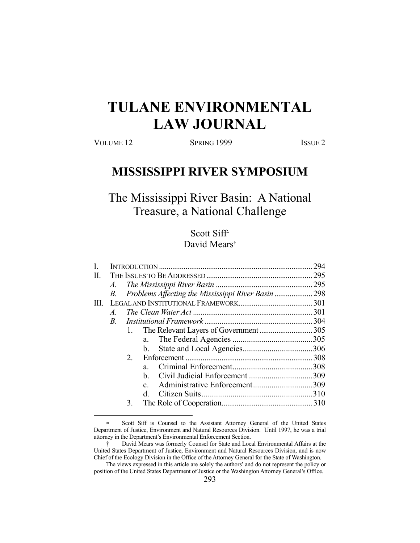# **TULANE ENVIRONMENTAL LAW JOURNAL**

1

VOLUME 12 SPRING 1999 ISSUE 2

## **MISSISSIPPI RIVER SYMPOSIUM**

The Mississippi River Basin: A National Treasure, a National Challenge

### Scott Siff David Mears†

| I.   |             |    |                                                     | 294 |
|------|-------------|----|-----------------------------------------------------|-----|
| Π.   |             |    |                                                     |     |
|      | A.          |    |                                                     |     |
|      | $B$ .       |    | Problems Affecting the Mississippi River Basin  298 |     |
| III. |             |    |                                                     |     |
|      | $A_{\cdot}$ |    |                                                     |     |
|      | $B_{\cdot}$ |    |                                                     |     |
|      |             |    |                                                     |     |
|      |             |    | a.                                                  |     |
|      |             |    | b.                                                  |     |
|      |             | 2. |                                                     |     |
|      |             |    | a.                                                  |     |
|      |             |    | $\mathbf{h}_\cdot$                                  |     |
|      |             |    | Administrative Enforcement309<br>$\mathbf{c}$ .     |     |
|      |             |    | $d_{-}$                                             |     |
|      |             | 3. |                                                     |     |
|      |             |    |                                                     |     |

Scott Siff is Counsel to the Assistant Attorney General of the United States Department of Justice, Environment and Natural Resources Division. Until 1997, he was a trial attorney in the Department's Environmental Enforcement Section.

 <sup>†</sup> David Mears was formerly Counsel for State and Local Environmental Affairs at the United States Department of Justice, Environment and Natural Resources Division, and is now Chief of the Ecology Division in the Office of the Attorney General for the State of Washington.

The views expressed in this article are solely the authors' and do not represent the policy or position of the United States Department of Justice or the Washington Attorney General's Office.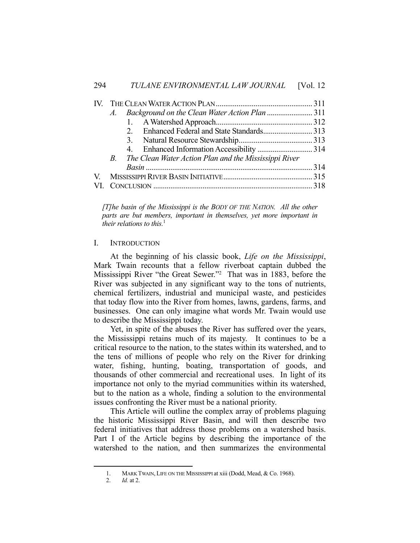|  | B. The Clean Water Action Plan and the Mississippi River |  |
|--|----------------------------------------------------------|--|
|  |                                                          |  |
|  |                                                          |  |
|  |                                                          |  |

*[T]he basin of the Mississippi is the BODY OF THE NATION. All the other parts are but members, important in themselves, yet more important in their relations to this.*<sup>1</sup>

#### I. INTRODUCTION

 At the beginning of his classic book, *Life on the Mississippi*, Mark Twain recounts that a fellow riverboat captain dubbed the Mississippi River "the Great Sewer."2 That was in 1883, before the River was subjected in any significant way to the tons of nutrients, chemical fertilizers, industrial and municipal waste, and pesticides that today flow into the River from homes, lawns, gardens, farms, and businesses. One can only imagine what words Mr. Twain would use to describe the Mississippi today.

 Yet, in spite of the abuses the River has suffered over the years, the Mississippi retains much of its majesty. It continues to be a critical resource to the nation, to the states within its watershed, and to the tens of millions of people who rely on the River for drinking water, fishing, hunting, boating, transportation of goods, and thousands of other commercial and recreational uses. In light of its importance not only to the myriad communities within its watershed, but to the nation as a whole, finding a solution to the environmental issues confronting the River must be a national priority.

 This Article will outline the complex array of problems plaguing the historic Mississippi River Basin, and will then describe two federal initiatives that address those problems on a watershed basis. Part I of the Article begins by describing the importance of the watershed to the nation, and then summarizes the environmental

<sup>1.</sup> MARK TWAIN, LIFE ON THE MISSISSIPPI at xiii (Dodd, Mead, & Co. 1968).

 <sup>2.</sup> *Id.* at 2.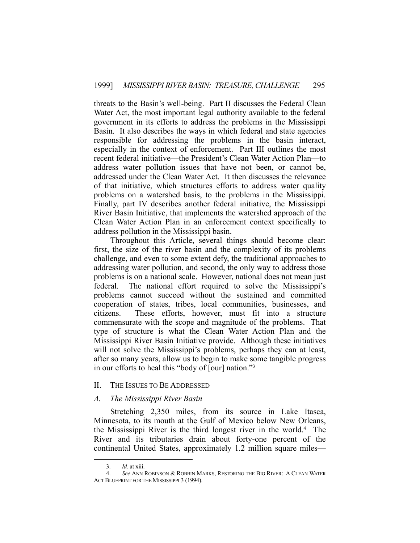threats to the Basin's well-being. Part II discusses the Federal Clean Water Act, the most important legal authority available to the federal government in its efforts to address the problems in the Mississippi Basin. It also describes the ways in which federal and state agencies responsible for addressing the problems in the basin interact, especially in the context of enforcement. Part III outlines the most recent federal initiative—the President's Clean Water Action Plan—to address water pollution issues that have not been, or cannot be, addressed under the Clean Water Act. It then discusses the relevance of that initiative, which structures efforts to address water quality problems on a watershed basis, to the problems in the Mississippi. Finally, part IV describes another federal initiative, the Mississippi River Basin Initiative, that implements the watershed approach of the Clean Water Action Plan in an enforcement context specifically to address pollution in the Mississippi basin.

 Throughout this Article, several things should become clear: first, the size of the river basin and the complexity of its problems challenge, and even to some extent defy, the traditional approaches to addressing water pollution, and second, the only way to address those problems is on a national scale. However, national does not mean just federal. The national effort required to solve the Mississippi's problems cannot succeed without the sustained and committed cooperation of states, tribes, local communities, businesses, and citizens. These efforts, however, must fit into a structure commensurate with the scope and magnitude of the problems. That type of structure is what the Clean Water Action Plan and the Mississippi River Basin Initiative provide. Although these initiatives will not solve the Mississippi's problems, perhaps they can at least, after so many years, allow us to begin to make some tangible progress in our efforts to heal this "body of [our] nation."3

#### II. THE ISSUES TO BE ADDRESSED

#### *A. The Mississippi River Basin*

 Stretching 2,350 miles, from its source in Lake Itasca, Minnesota, to its mouth at the Gulf of Mexico below New Orleans, the Mississippi River is the third longest river in the world.4 The River and its tributaries drain about forty-one percent of the continental United States, approximately 1.2 million square miles—

 <sup>3.</sup> *Id.* at xiii.

 <sup>4.</sup> *See* ANN ROBINSON & ROBBIN MARKS, RESTORING THE BIG RIVER: A CLEAN WATER ACT BLUEPRINT FOR THE MISSISSIPPI 3 (1994).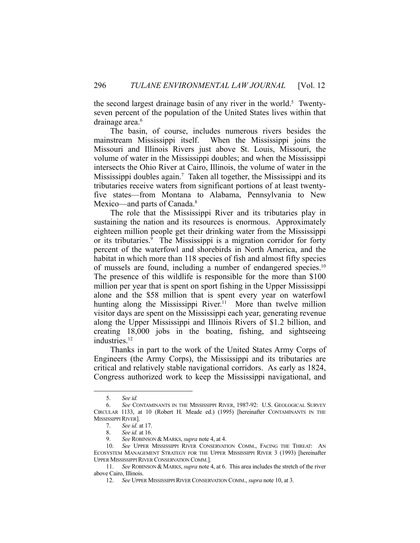the second largest drainage basin of any river in the world.<sup>5</sup> Twentyseven percent of the population of the United States lives within that drainage area.<sup>6</sup>

 The basin, of course, includes numerous rivers besides the mainstream Mississippi itself. When the Mississippi joins the Missouri and Illinois Rivers just above St. Louis, Missouri, the volume of water in the Mississippi doubles; and when the Mississippi intersects the Ohio River at Cairo, Illinois, the volume of water in the Mississippi doubles again.<sup>7</sup> Taken all together, the Mississippi and its tributaries receive waters from significant portions of at least twentyfive states—from Montana to Alabama, Pennsylvania to New Mexico—and parts of Canada.<sup>8</sup>

 The role that the Mississippi River and its tributaries play in sustaining the nation and its resources is enormous. Approximately eighteen million people get their drinking water from the Mississippi or its tributaries.<sup>9</sup> The Mississippi is a migration corridor for forty percent of the waterfowl and shorebirds in North America, and the habitat in which more than 118 species of fish and almost fifty species of mussels are found, including a number of endangered species.<sup>10</sup> The presence of this wildlife is responsible for the more than \$100 million per year that is spent on sport fishing in the Upper Mississippi alone and the \$58 million that is spent every year on waterfowl hunting along the Mississippi River.<sup>11</sup> More than twelve million visitor days are spent on the Mississippi each year, generating revenue along the Upper Mississippi and Illinois Rivers of \$1.2 billion, and creating 18,000 jobs in the boating, fishing, and sightseeing industries.<sup>12</sup>

 Thanks in part to the work of the United States Army Corps of Engineers (the Army Corps), the Mississippi and its tributaries are critical and relatively stable navigational corridors. As early as 1824, Congress authorized work to keep the Mississippi navigational, and

 <sup>5.</sup> *See id.*

 <sup>6.</sup> *See* CONTAMINANTS IN THE MISSISSIPPI RIVER, 1987-92: U.S. GEOLOGICAL SURVEY CIRCULAR 1133, at 10 (Robert H. Meade ed.) (1995) [hereinafter CONTAMINANTS IN THE MISSISSIPPI RIVER].

 <sup>7.</sup> *See id.* at 17.

 <sup>8.</sup> *See id.* at 16.

 <sup>9.</sup> *See* ROBINSON & MARKS, *supra* note 4, at 4.

 <sup>10.</sup> *See* UPPER MISSISSIPPI RIVER CONSERVATION COMM., FACING THE THREAT: AN ECOSYSTEM MANAGEMENT STRATEGY FOR THE UPPER MISSISSIPPI RIVER 3 (1993) [hereinafter UPPER MISSISSIPPI RIVER CONSERVATION COMM.].

 <sup>11.</sup> *See* ROBINSON & MARKS, *supra* note 4, at 6. This area includes the stretch of the river above Cairo, Illinois.

 <sup>12.</sup> *See* UPPER MISSISSIPPI RIVER CONSERVATION COMM., *supra* note 10, at 3.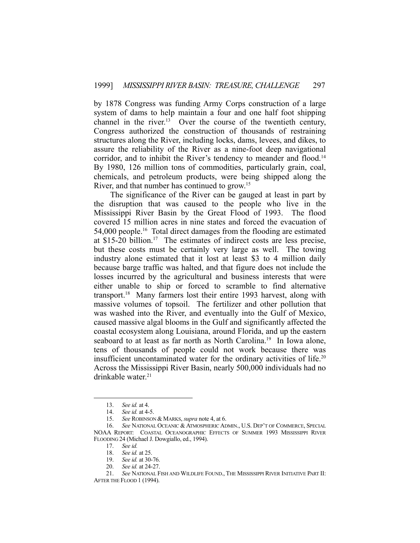by 1878 Congress was funding Army Corps construction of a large system of dams to help maintain a four and one half foot shipping channel in the river.<sup>13</sup> Over the course of the twentieth century, Congress authorized the construction of thousands of restraining structures along the River, including locks, dams, levees, and dikes, to assure the reliability of the River as a nine-foot deep navigational corridor, and to inhibit the River's tendency to meander and flood.<sup>14</sup> By 1980, 126 million tons of commodities, particularly grain, coal, chemicals, and petroleum products, were being shipped along the River, and that number has continued to grow.15

 The significance of the River can be gauged at least in part by the disruption that was caused to the people who live in the Mississippi River Basin by the Great Flood of 1993. The flood covered 15 million acres in nine states and forced the evacuation of 54,000 people.<sup>16</sup> Total direct damages from the flooding are estimated at \$15-20 billion.17 The estimates of indirect costs are less precise, but these costs must be certainly very large as well. The towing industry alone estimated that it lost at least \$3 to 4 million daily because barge traffic was halted, and that figure does not include the losses incurred by the agricultural and business interests that were either unable to ship or forced to scramble to find alternative transport.18 Many farmers lost their entire 1993 harvest, along with massive volumes of topsoil. The fertilizer and other pollution that was washed into the River, and eventually into the Gulf of Mexico, caused massive algal blooms in the Gulf and significantly affected the coastal ecosystem along Louisiana, around Florida, and up the eastern seaboard to at least as far north as North Carolina.<sup>19</sup> In Iowa alone, tens of thousands of people could not work because there was insufficient uncontaminated water for the ordinary activities of life.<sup>20</sup> Across the Mississippi River Basin, nearly 500,000 individuals had no drinkable water.<sup>21</sup>

 <sup>13.</sup> *See id.* at 4.

 <sup>14.</sup> *See id.* at 4-5.

 <sup>15.</sup> *See* ROBINSON & MARKS, *supra* note 4, at 6.

 <sup>16.</sup> *See* NATIONAL OCEANIC & ATMOSPHERIC ADMIN., U.S. DEP'T OF COMMERCE, SPECIAL NOAA REPORT: COASTAL OCEANOGRAPHIC EFFECTS OF SUMMER 1993 MISSISSIPPI RIVER FLOODING 24 (Michael J. Dowgiallo, ed., 1994).

 <sup>17.</sup> *See id.*

 <sup>18.</sup> *See id.* at 25.

See id. at 30-76.

 <sup>20.</sup> *See id.* at 24-27.

 <sup>21.</sup> *See* NATIONAL FISH AND WILDLIFE FOUND., THE MISSISSIPPI RIVER INITIATIVE PART II: AFTER THE FLOOD 1 (1994).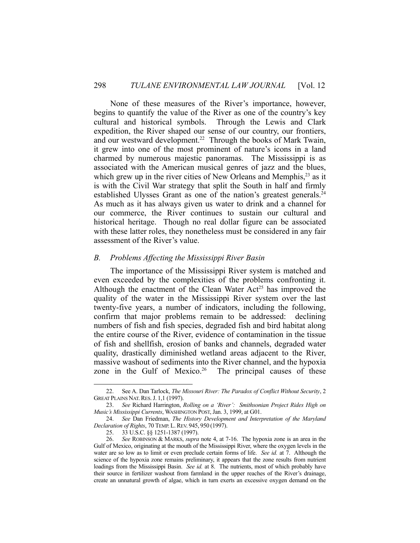None of these measures of the River's importance, however, begins to quantify the value of the River as one of the country's key cultural and historical symbols. Through the Lewis and Clark expedition, the River shaped our sense of our country, our frontiers, and our westward development.<sup>22</sup> Through the books of Mark Twain, it grew into one of the most prominent of nature's icons in a land charmed by numerous majestic panoramas. The Mississippi is as associated with the American musical genres of jazz and the blues, which grew up in the river cities of New Orleans and Memphis, $23$  as it is with the Civil War strategy that split the South in half and firmly established Ulysses Grant as one of the nation's greatest generals.<sup>24</sup> As much as it has always given us water to drink and a channel for our commerce, the River continues to sustain our cultural and historical heritage. Though no real dollar figure can be associated with these latter roles, they nonetheless must be considered in any fair assessment of the River's value.

#### *B. Problems Affecting the Mississippi River Basin*

 The importance of the Mississippi River system is matched and even exceeded by the complexities of the problems confronting it. Although the enactment of the Clean Water  $Act^{25}$  has improved the quality of the water in the Mississippi River system over the last twenty-five years, a number of indicators, including the following, confirm that major problems remain to be addressed: declining numbers of fish and fish species, degraded fish and bird habitat along the entire course of the River, evidence of contamination in the tissue of fish and shellfish, erosion of banks and channels, degraded water quality, drastically diminished wetland areas adjacent to the River, massive washout of sediments into the River channel, and the hypoxia zone in the Gulf of Mexico.<sup>26</sup> The principal causes of these

 <sup>22.</sup> See A. Dan Tarlock, *The Missouri River: The Paradox of Conflict Without Security*, 2 GREAT PLAINS NAT.RES.J. 1,1 (1997).

 <sup>23.</sup> *See* Richard Harrington, *Rolling on a 'River': Smithsonian Project Rides High on Music's Mississippi Currents*, WASHINGTON POST, Jan. 3, 1999, at G01.

 <sup>24.</sup> *See* Dan Friedman, *The History Development and Interpretation of the Maryland Declaration of Rights*, 70 TEMP. L.REV. 945, 950 (1997).

 <sup>25. 33</sup> U.S.C. §§ 1251-1387 (1997).

 <sup>26.</sup> *See* ROBINSON & MARKS, *supra* note 4, at 7-16. The hypoxia zone is an area in the Gulf of Mexico, originating at the mouth of the Mississippi River, where the oxygen levels in the water are so low as to limit or even preclude certain forms of life. *See id.* at 7. Although the science of the hypoxia zone remains preliminary, it appears that the zone results from nutrient loadings from the Mississippi Basin. *See id.* at 8. The nutrients, most of which probably have their source in fertilizer washout from farmland in the upper reaches of the River's drainage, create an unnatural growth of algae, which in turn exerts an excessive oxygen demand on the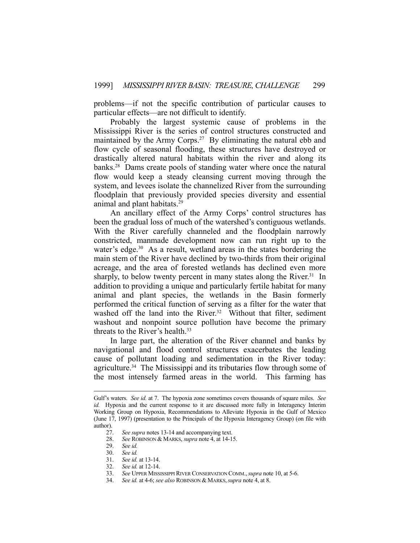problems—if not the specific contribution of particular causes to particular effects—are not difficult to identify.

 Probably the largest systemic cause of problems in the Mississippi River is the series of control structures constructed and maintained by the Army Corps.27 By eliminating the natural ebb and flow cycle of seasonal flooding, these structures have destroyed or drastically altered natural habitats within the river and along its banks.<sup>28</sup> Dams create pools of standing water where once the natural flow would keep a steady cleansing current moving through the system, and levees isolate the channelized River from the surrounding floodplain that previously provided species diversity and essential animal and plant habitats.29

 An ancillary effect of the Army Corps' control structures has been the gradual loss of much of the watershed's contiguous wetlands. With the River carefully channeled and the floodplain narrowly constricted, manmade development now can run right up to the water's edge.<sup>30</sup> As a result, wetland areas in the states bordering the main stem of the River have declined by two-thirds from their original acreage, and the area of forested wetlands has declined even more sharply, to below twenty percent in many states along the River.<sup>31</sup> In addition to providing a unique and particularly fertile habitat for many animal and plant species, the wetlands in the Basin formerly performed the critical function of serving as a filter for the water that washed off the land into the River.<sup>32</sup> Without that filter, sediment washout and nonpoint source pollution have become the primary threats to the River's health.<sup>33</sup>

 In large part, the alteration of the River channel and banks by navigational and flood control structures exacerbates the leading cause of pollutant loading and sedimentation in the River today: agriculture.34 The Mississippi and its tributaries flow through some of the most intensely farmed areas in the world. This farming has

Gulf's waters. *See id.* at 7. The hypoxia zone sometimes covers thousands of square miles. *See id.* Hypoxia and the current response to it are discussed more fully in Interagency Interim Working Group on Hypoxia, Recommendations to Alleviate Hypoxia in the Gulf of Mexico (June 17, 1997) (presentation to the Principals of the Hypoxia Interagency Group) (on file with author).

 <sup>27.</sup> *See supra* notes 13-14 and accompanying text.

 <sup>28.</sup> *See* ROBINSON & MARKS, *supra* note 4, at 14-15.

 <sup>29.</sup> *See id.*

 <sup>30.</sup> *See id.* 

 <sup>31.</sup> *See id.* at 13-14.

 <sup>32.</sup> *See id.* at 12-14.

 <sup>33.</sup> *See* UPPER MISSISSIPPI RIVER CONSERVATION COMM.,*supra* note 10, at 5-6.

 <sup>34.</sup> *See id.* at 4-6; *see also* ROBINSON & MARKS,*supra* note 4, at 8.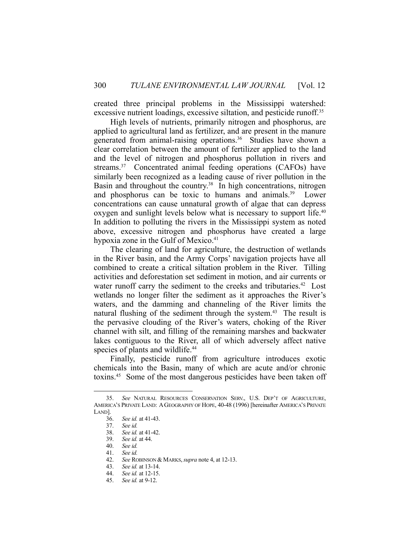created three principal problems in the Mississippi watershed: excessive nutrient loadings, excessive siltation, and pesticide runoff.<sup>35</sup>

 High levels of nutrients, primarily nitrogen and phosphorus, are applied to agricultural land as fertilizer, and are present in the manure generated from animal-raising operations.<sup>36</sup> Studies have shown a clear correlation between the amount of fertilizer applied to the land and the level of nitrogen and phosphorus pollution in rivers and streams.<sup>37</sup> Concentrated animal feeding operations (CAFOs) have similarly been recognized as a leading cause of river pollution in the Basin and throughout the country.<sup>38</sup> In high concentrations, nitrogen and phosphorus can be toxic to humans and animals.<sup>39</sup> Lower concentrations can cause unnatural growth of algae that can depress oxygen and sunlight levels below what is necessary to support life.<sup>40</sup> In addition to polluting the rivers in the Mississippi system as noted above, excessive nitrogen and phosphorus have created a large hypoxia zone in the Gulf of Mexico.<sup>41</sup>

 The clearing of land for agriculture, the destruction of wetlands in the River basin, and the Army Corps' navigation projects have all combined to create a critical siltation problem in the River. Tilling activities and deforestation set sediment in motion, and air currents or water runoff carry the sediment to the creeks and tributaries.<sup>42</sup> Lost wetlands no longer filter the sediment as it approaches the River's waters, and the damming and channeling of the River limits the natural flushing of the sediment through the system.<sup>43</sup> The result is the pervasive clouding of the River's waters, choking of the River channel with silt, and filling of the remaining marshes and backwater lakes contiguous to the River, all of which adversely affect native species of plants and wildlife.<sup>44</sup>

 Finally, pesticide runoff from agriculture introduces exotic chemicals into the Basin, many of which are acute and/or chronic toxins.45 Some of the most dangerous pesticides have been taken off

 <sup>35.</sup> *See* NATURAL RESOURCES CONSERVATION SERV., U.S. DEP'T OF AGRICULTURE, AMERICA'S PRIVATE LAND: AGEOGRAPHY OF HOPE, 40-48 (1996) [hereinafter AMERICA'S PRIVATE LAND].

 <sup>36.</sup> *See id.* at 41-43.

 <sup>37.</sup> *See id.* 

 <sup>38.</sup> *See id.* at 41-42.

 <sup>39.</sup> *See id.* at 44.

 <sup>40.</sup> *See id.* 

 <sup>41.</sup> *See id.*

See ROBINSON & MARKS, *supra* note 4, at 12-13. 43. *See id.* at 13-14.

 <sup>44.</sup> *See id.* at 12-15.

 <sup>45.</sup> *See id.* at 9-12.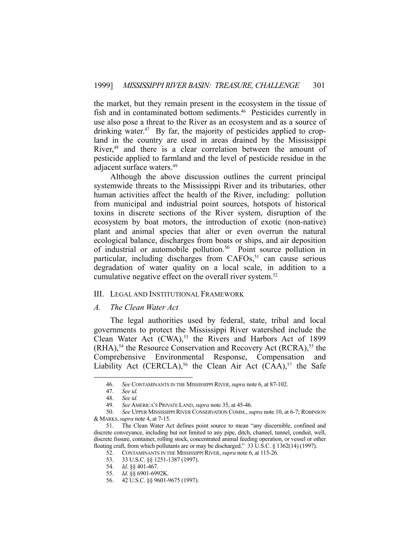the market, but they remain present in the ecosystem in the tissue of fish and in contaminated bottom sediments.46 Pesticides currently in use also pose a threat to the River as an ecosystem and as a source of drinking water.<sup>47</sup> By far, the majority of pesticides applied to cropland in the country are used in areas drained by the Mississippi River,<sup>48</sup> and there is a clear correlation between the amount of pesticide applied to farmland and the level of pesticide residue in the adjacent surface waters.49

 Although the above discussion outlines the current principal systemwide threats to the Mississippi River and its tributaries, other human activities affect the health of the River, including: pollution from municipal and industrial point sources, hotspots of historical toxins in discrete sections of the River system, disruption of the ecosystem by boat motors, the introduction of exotic (non-native) plant and animal species that alter or even overrun the natural ecological balance, discharges from boats or ships, and air deposition of industrial or automobile pollution.<sup>50</sup> Point source pollution in particular, including discharges from CAFOs,<sup>51</sup> can cause serious degradation of water quality on a local scale, in addition to a cumulative negative effect on the overall river system.<sup>52</sup>

#### III. LEGAL AND INSTITUTIONAL FRAMEWORK

#### *A. The Clean Water Act*

 The legal authorities used by federal, state, tribal and local governments to protect the Mississippi River watershed include the Clean Water Act  $(CWA)$ ,<sup>53</sup> the Rivers and Harbors Act of 1899  $(RHA)$ ,<sup>54</sup> the Resource Conservation and Recovery Act  $(RCRA)$ ,<sup>55</sup> the Comprehensive Environmental Response, Compensation and Liability Act (CERCLA),<sup>56</sup> the Clean Air Act (CAA),<sup>57</sup> the Safe

 <sup>46.</sup> *See* CONTAMINANTS IN THE MISSISSIPPI RIVER,*supra* note 6, at 87-102.

 <sup>47.</sup> *See id.*

 <sup>48.</sup> *See id.* 

 <sup>49.</sup> *See* AMERICA'S PRIVATE LAND, *supra* note 35, at 45-46.

 <sup>50.</sup> *See* UPPER MISSISSIPPI RIVER CONSERVATION COMM., *supra* note 10, at 6-7; ROBINSON & MARKS,*supra* note 4, at 7-15.

 <sup>51.</sup> The Clean Water Act defines point source to mean "any discernible, confined and discrete conveyance, including but not limited to any pipe, ditch, channel, tunnel, conduit, well, discrete fissure, container, rolling stock, concentrated animal feeding operation, or vessel or other floating craft, from which pollutants are or may be discharged." 33 U.S.C. § 1362(14) (1997).

 <sup>52.</sup> CONTAMINANTS IN THE MISSISSIPPI RIVER, *supra* note 6, at 115-26.

 <sup>53. 33</sup> U.S.C. §§ 1251-1387 (1997).

 <sup>54.</sup> *Id*. §§ 401-467.

 <sup>55.</sup> *Id*. §§ 6901-6992K.

 <sup>56. 42</sup> U.S.C. §§ 9601-9675 (1997).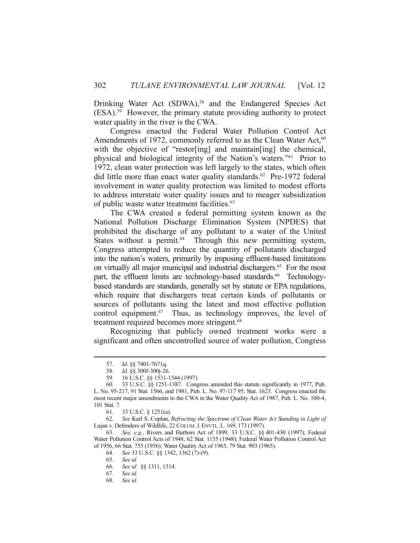Drinking Water Act (SDWA),<sup>58</sup> and the Endangered Species Act  $(ESA).<sup>59</sup>$  However, the primary statute providing authority to protect water quality in the river is the CWA.

 Congress enacted the Federal Water Pollution Control Act Amendments of 1972, commonly referred to as the Clean Water Act,<sup>60</sup> with the objective of "restor[ing] and maintain[ing] the chemical, physical and biological integrity of the Nation's waters."61 Prior to 1972, clean water protection was left largely to the states, which often did little more than enact water quality standards.<sup>62</sup> Pre-1972 federal involvement in water quality protection was limited to modest efforts to address interstate water quality issues and to meager subsidization of public waste water treatment facilities.<sup>63</sup>

 The CWA created a federal permitting system known as the National Pollution Discharge Elimination System (NPDES) that prohibited the discharge of any pollutant to a water of the United States without a permit.<sup>64</sup> Through this new permitting system, Congress attempted to reduce the quantity of pollutants discharged into the nation's waters, primarily by imposing effluent-based limitations on virtually all major municipal and industrial dischargers.<sup>65</sup> For the most part, the effluent limits are technology-based standards.<sup>66</sup> Technologybased standards are standards, generally set by statute or EPA regulations, which require that dischargers treat certain kinds of pollutants or sources of pollutants using the latest and most effective pollution control equipment.<sup>67</sup> Thus, as technology improves, the level of treatment required becomes more stringent.<sup>68</sup>

 Recognizing that publicly owned treatment works were a significant and often uncontrolled source of water pollution, Congress

 63. *See, e.g.*, Rivers and Harbors Act of 1899, 33 U.S.C. §§ 401-430 (1997); Federal Water Pollution Control Acts of 1948, 62 Stat. 1155 (1948); Federal Water Pollution Control Act of 1956, 66 Stat. 755 (1956); Water Quality Act of 1965, 79 Stat. 903 (1965).

 <sup>57.</sup> *Id*. §§ 7401-7671q*.*

 <sup>58.</sup> *Id*. §§ 300f-300j-26.

 <sup>59. 16</sup> U.S.C. §§ 1531-1544 (1997)*.*

 <sup>60. 33</sup> U.S.C. §§ 1251-1387. Congress amended this statute significantly in 1977, Pub. L. No. 95-217, 91 Stat. 1566, and 1981, Pub. L. No. 97-117 95, Stat. 1623. Congress enacted the most recent major amendments to the CWA in the Water Quality Act of 1987, Pub. L. No. 100-4, 101 Stat. 7.

 <sup>61. 33</sup> U.S.C. § 1251(a).

 <sup>62.</sup> *See* Karl S. Coplan, *Refracting the Spectrum of Clean Water Act Standing in Light of*  Lujan v. Defenders of Wildlife, 22 COLUM. J. ENVTL. L. 169, 173 (1997).

 <sup>64.</sup> *See* 33 U.S.C. §§ 1342, 1362 (7)-(9).

 <sup>65.</sup> *See id.* 

 <sup>66.</sup> *See id.* §§ 1311, 1314.

 <sup>67.</sup> *See id.* 

 <sup>68.</sup> *See id.*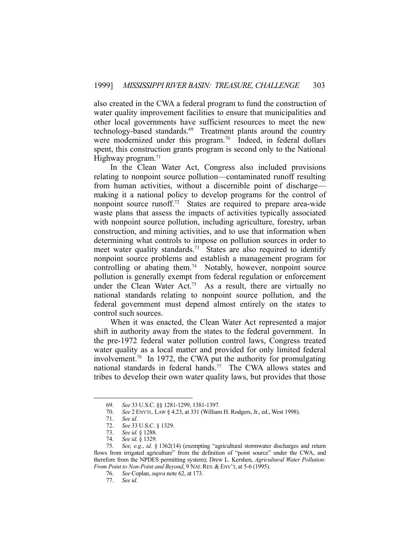also created in the CWA a federal program to fund the construction of water quality improvement facilities to ensure that municipalities and other local governments have sufficient resources to meet the new technology-based standards.<sup>69</sup> Treatment plants around the country were modernized under this program.<sup>70</sup> Indeed, in federal dollars spent, this construction grants program is second only to the National Highway program.71

 In the Clean Water Act, Congress also included provisions relating to nonpoint source pollution—contaminated runoff resulting from human activities, without a discernible point of discharge making it a national policy to develop programs for the control of nonpoint source runoff.72 States are required to prepare area-wide waste plans that assess the impacts of activities typically associated with nonpoint source pollution, including agriculture, forestry, urban construction, and mining activities, and to use that information when determining what controls to impose on pollution sources in order to meet water quality standards.<sup>73</sup> States are also required to identify nonpoint source problems and establish a management program for controlling or abating them.<sup>74</sup> Notably, however, nonpoint source pollution is generally exempt from federal regulation or enforcement under the Clean Water Act.<sup>75</sup> As a result, there are virtually no national standards relating to nonpoint source pollution, and the federal government must depend almost entirely on the states to control such sources.

 When it was enacted, the Clean Water Act represented a major shift in authority away from the states to the federal government. In the pre-1972 federal water pollution control laws, Congress treated water quality as a local matter and provided for only limited federal involvement.76 In 1972, the CWA put the authority for promulgating national standards in federal hands.<sup>77</sup> The CWA allows states and tribes to develop their own water quality laws, but provides that those

 <sup>69.</sup> *See* 33 U.S.C. §§ 1281-1299, 1381-1397*.*

 <sup>70.</sup> *See* 2 ENVTL. LAW § 4.23, at 331 (William H. Rodgers, Jr., ed., West 1998).

 <sup>71.</sup> *See id.*

 <sup>72.</sup> *See* 33 U.S.C. § 1329.

 <sup>73.</sup> *See id*. § 1288.

 <sup>74.</sup> *See id*. § 1329.

 <sup>75.</sup> *See, e.g.*, *id.* § 1362(14) (exempting "agricultural stormwater discharges and return flows from irrigated agriculture" from the definition of "point source" under the CWA, and therefore from the NPDES permitting system); Drew L. Kershen, *Agricultural Water Pollution: From Point to Non-Point and Beyond*, 9 NAT. RES. & ENV'T, at 5-6 (1995).

 <sup>76.</sup> *See* Coplan, *supra* note 62, at 173.

 <sup>77.</sup> *See id.*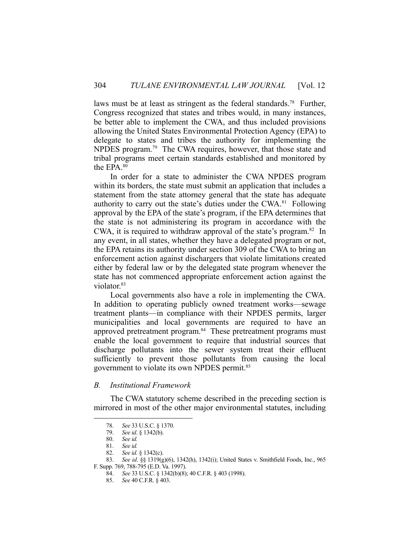laws must be at least as stringent as the federal standards.<sup>78</sup> Further, Congress recognized that states and tribes would, in many instances, be better able to implement the CWA, and thus included provisions allowing the United States Environmental Protection Agency (EPA) to delegate to states and tribes the authority for implementing the NPDES program.<sup>79</sup> The CWA requires, however, that those state and tribal programs meet certain standards established and monitored by the EPA.80

 In order for a state to administer the CWA NPDES program within its borders, the state must submit an application that includes a statement from the state attorney general that the state has adequate authority to carry out the state's duties under the CWA.81 Following approval by the EPA of the state's program, if the EPA determines that the state is not administering its program in accordance with the CWA, it is required to withdraw approval of the state's program. 82 In any event, in all states, whether they have a delegated program or not, the EPA retains its authority under section 309 of the CWA to bring an enforcement action against dischargers that violate limitations created either by federal law or by the delegated state program whenever the state has not commenced appropriate enforcement action against the violator.<sup>83</sup>

 Local governments also have a role in implementing the CWA. In addition to operating publicly owned treatment works—sewage treatment plants—in compliance with their NPDES permits, larger municipalities and local governments are required to have an approved pretreatment program.<sup>84</sup> These pretreatment programs must enable the local government to require that industrial sources that discharge pollutants into the sewer system treat their effluent sufficiently to prevent those pollutants from causing the local government to violate its own NPDES permit.85

#### *B. Institutional Framework*

 The CWA statutory scheme described in the preceding section is mirrored in most of the other major environmental statutes, including

 <sup>78.</sup> *See* 33 U.S.C. § 1370.

 <sup>79.</sup> *See id*. § 1342(b).

 <sup>80.</sup> *See id.*

 <sup>81.</sup> *See id.*

 <sup>82.</sup> *See id*. § 1342(c).

 <sup>83.</sup> *See id*. §§ 1319(g)(6), 1342(h), 1342(i); United States v. Smithfield Foods, Inc., 965 F. Supp. 769, 788-795 (E.D. Va. 1997).

 <sup>84.</sup> *See* 33 U.S.C. § 1342(b)(8); 40 C.F.R. § 403 (1998).

 <sup>85.</sup> *See* 40 C.F.R. § 403.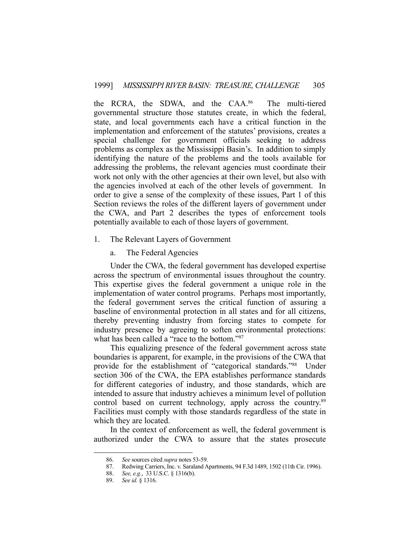the RCRA, the SDWA, and the CAA.<sup>86</sup> The multi-tiered governmental structure those statutes create, in which the federal, state, and local governments each have a critical function in the implementation and enforcement of the statutes' provisions, creates a special challenge for government officials seeking to address problems as complex as the Mississippi Basin's. In addition to simply identifying the nature of the problems and the tools available for addressing the problems, the relevant agencies must coordinate their work not only with the other agencies at their own level, but also with the agencies involved at each of the other levels of government. In order to give a sense of the complexity of these issues, Part 1 of this Section reviews the roles of the different layers of government under the CWA, and Part 2 describes the types of enforcement tools potentially available to each of those layers of government.

- 1. The Relevant Layers of Government
	- a. The Federal Agencies

 Under the CWA, the federal government has developed expertise across the spectrum of environmental issues throughout the country. This expertise gives the federal government a unique role in the implementation of water control programs. Perhaps most importantly, the federal government serves the critical function of assuring a baseline of environmental protection in all states and for all citizens, thereby preventing industry from forcing states to compete for industry presence by agreeing to soften environmental protections: what has been called a "race to the bottom."<sup>87</sup>

 This equalizing presence of the federal government across state boundaries is apparent, for example, in the provisions of the CWA that provide for the establishment of "categorical standards."88 Under section 306 of the CWA, the EPA establishes performance standards for different categories of industry, and those standards, which are intended to assure that industry achieves a minimum level of pollution control based on current technology, apply across the country.<sup>89</sup> Facilities must comply with those standards regardless of the state in which they are located.

 In the context of enforcement as well, the federal government is authorized under the CWA to assure that the states prosecute

 <sup>86.</sup> *See* sources cited *supra* notes 53-59.

 <sup>87.</sup> Redwing Carriers, Inc. v. Saraland Apartments, 94 F.3d 1489, 1502 (11th Cir. 1996).

 <sup>88.</sup> *See, e.g.*, 33 U.S.C. § 1316(b).

 <sup>89.</sup> *See id.* § 1316.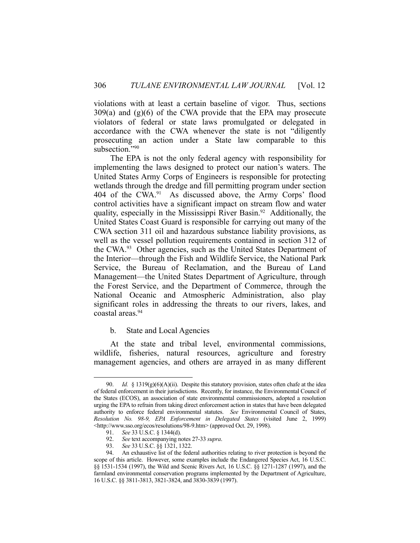violations with at least a certain baseline of vigor. Thus, sections  $309(a)$  and  $(g)(6)$  of the CWA provide that the EPA may prosecute violators of federal or state laws promulgated or delegated in accordance with the CWA whenever the state is not "diligently prosecuting an action under a State law comparable to this subsection."90

 The EPA is not the only federal agency with responsibility for implementing the laws designed to protect our nation's waters. The United States Army Corps of Engineers is responsible for protecting wetlands through the dredge and fill permitting program under section 404 of the CWA.91 As discussed above, the Army Corps' flood control activities have a significant impact on stream flow and water quality, especially in the Mississippi River Basin.<sup>92</sup> Additionally, the United States Coast Guard is responsible for carrying out many of the CWA section 311 oil and hazardous substance liability provisions, as well as the vessel pollution requirements contained in section 312 of the CWA.93 Other agencies, such as the United States Department of the Interior—through the Fish and Wildlife Service, the National Park Service, the Bureau of Reclamation, and the Bureau of Land Management—the United States Department of Agriculture, through the Forest Service, and the Department of Commerce, through the National Oceanic and Atmospheric Administration, also play significant roles in addressing the threats to our rivers, lakes, and coastal areas.94

#### b. State and Local Agencies

 At the state and tribal level, environmental commissions, wildlife, fisheries, natural resources, agriculture and forestry management agencies, and others are arrayed in as many different

 <sup>90.</sup> *Id.* § 1319(g)(6)(A)(ii). Despite this statutory provision, states often chafe at the idea of federal enforcement in their jurisdictions. Recently, for instance, the Environmental Council of the States (ECOS), an association of state environmental commissioners, adopted a resolution urging the EPA to refrain from taking direct enforcement action in states that have been delegated authority to enforce federal environmental statutes. *See* Environmental Council of States, *Resolution No. 98-9, EPA Enforcement in Delegated States* (visited June 2, 1999) <http://www.sso.org/ecos/resolutions/98-9.htm> (approved Oct. 29, 1998).

 <sup>91.</sup> *See* 33 U.S.C. § 1344(d).

 <sup>92.</sup> *See* text accompanying notes 27-33 *supra*.

 <sup>93.</sup> *See* 33 U.S.C. §§ 1321, 1322.

 <sup>94.</sup> An exhaustive list of the federal authorities relating to river protection is beyond the scope of this article. However, some examples include the Endangered Species Act, 16 U.S.C. §§ 1531-1534 (1997), the Wild and Scenic Rivers Act, 16 U.S.C. §§ 1271-1287 (1997), and the farmland environmental conservation programs implemented by the Department of Agriculture, 16 U.S.C. §§ 3811-3813, 3821-3824, and 3830-3839 (1997).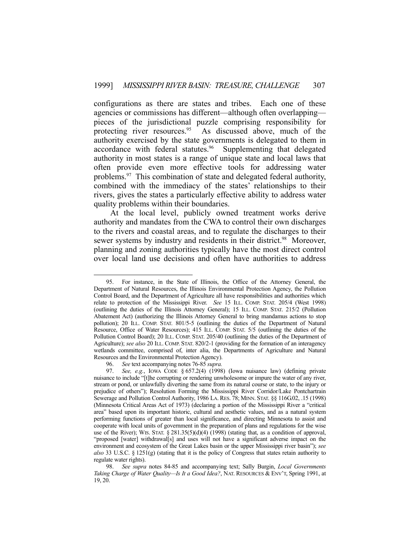configurations as there are states and tribes. Each one of these agencies or commissions has different—although often overlapping pieces of the jurisdictional puzzle comprising responsibility for protecting river resources.<sup>95</sup> As discussed above, much of the authority exercised by the state governments is delegated to them in accordance with federal statutes.<sup>96</sup> Supplementing that delegated authority in most states is a range of unique state and local laws that often provide even more effective tools for addressing water problems.<sup>97</sup> This combination of state and delegated federal authority, combined with the immediacy of the states' relationships to their rivers, gives the states a particularly effective ability to address water quality problems within their boundaries.

 At the local level, publicly owned treatment works derive authority and mandates from the CWA to control their own discharges to the rivers and coastal areas, and to regulate the discharges to their sewer systems by industry and residents in their district.<sup>98</sup> Moreover, planning and zoning authorities typically have the most direct control over local land use decisions and often have authorities to address

 <sup>95.</sup> For instance, in the State of Illinois, the Office of the Attorney General, the Department of Natural Resources, the Illinois Environmental Protection Agency, the Pollution Control Board, and the Department of Agriculture all have responsibilities and authorities which relate to protection of the Mississippi River. *See* 15 ILL. COMP. STAT. 205/4 (West 1998) (outlining the duties of the Illinois Attorney General); 15 ILL. COMP. STAT. 215/2 (Pollution Abatement Act) (authorizing the Illinois Attorney General to bring mandamus actions to stop pollution); 20 ILL. COMP. STAT. 801/5-5 (outlining the duties of the Department of Natural Resource, Office of Water Resources); 415 ILL. COMP. STAT. 5/5 (outlining the duties of the Pollution Control Board); 20 ILL. COMP. STAT. 205/40 (outlining the duties of the Department of Agriculture); *see also* 20 ILL. COMP. STAT. 820/2-1 (providing for the formation of an interagency wetlands committee, comprised of, inter alia, the Departments of Agriculture and Natural Resources and the Environmental Protection Agency).

 <sup>96.</sup> *See* text accompanying notes 76-85 *supra.* 

 <sup>97.</sup> *See, e.g.*, IOWA CODE § 657.2(4) (1998) (Iowa nuisance law) (defining private nuisance to include "[t]he corrupting or rendering unwholesome or impure the water of any river, stream or pond, or unlawfully diverting the same from its natural course or state, to the injury or prejudice of others"); Resolution Forming the Mississippi River Corridor/Lake Pontchartrain Sewerage and Pollution Control Authority, 1986 LA. RES. 78; MINN. STAT. §§ 116G.02, .15 (1998) (Minnesota Critical Areas Act of 1973) (declaring a portion of the Mississippi River a "critical area" based upon its important historic, cultural and aesthetic values, and as a natural system performing functions of greater than local significance, and directing Minnesota to assist and cooperate with local units of government in the preparation of plans and regulations for the wise use of the River); WIS. STAT.  $\S 281.35(5)(d)(4)$  (1998) (stating that, as a condition of approval, "proposed [water] withdrawal[s] and uses will not have a significant adverse impact on the environment and ecosystem of the Great Lakes basin or the upper Mississippi river basin"); *see also* 33 U.S.C. § 1251(g) (stating that it is the policy of Congress that states retain authority to regulate water rights).

 <sup>98.</sup> *See supra* notes 84-85 and accompanying text; Sally Burgin, *Local Governments Taking Charge of Water Quality—Is It a Good Idea?*, NAT. RESOURCES & ENV'T, Spring 1991, at 19, 20.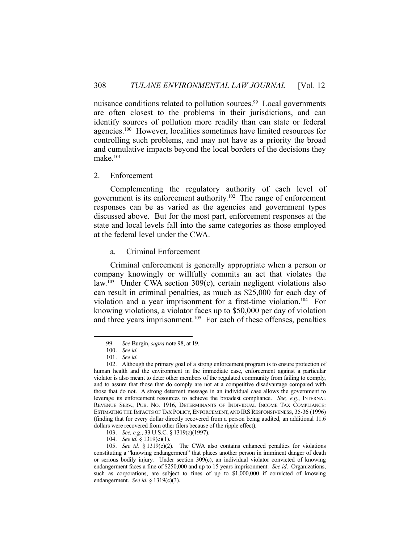nuisance conditions related to pollution sources.<sup>99</sup> Local governments are often closest to the problems in their jurisdictions, and can identify sources of pollution more readily than can state or federal agencies.100 However, localities sometimes have limited resources for controlling such problems, and may not have as a priority the broad and cumulative impacts beyond the local borders of the decisions they make.101

#### 2. Enforcement

 Complementing the regulatory authority of each level of government is its enforcement authority.102 The range of enforcement responses can be as varied as the agencies and government types discussed above. But for the most part, enforcement responses at the state and local levels fall into the same categories as those employed at the federal level under the CWA.

#### a. Criminal Enforcement

 Criminal enforcement is generally appropriate when a person or company knowingly or willfully commits an act that violates the law.<sup>103</sup> Under CWA section  $309(c)$ , certain negligent violations also can result in criminal penalties, as much as \$25,000 for each day of violation and a year imprisonment for a first-time violation.<sup>104</sup> For knowing violations, a violator faces up to \$50,000 per day of violation and three years imprisonment.<sup>105</sup> For each of these offenses, penalties

1

103. *See, e.g.*, 33 U.S.C. § 1319(c)(1997).

 <sup>99.</sup> *See* Burgin, *supra* note 98, at 19.

 <sup>100.</sup> *See id.* 

 <sup>101.</sup> *See id.* 

 <sup>102.</sup> Although the primary goal of a strong enforcement program is to ensure protection of human health and the environment in the immediate case, enforcement against a particular violator is also meant to deter other members of the regulated community from failing to comply, and to assure that those that do comply are not at a competitive disadvantage compared with those that do not. A strong deterrent message in an individual case allows the government to leverage its enforcement resources to achieve the broadest compliance. *See, e.g.*, INTERNAL REVENUE SERV., PUB. NO. 1916, DETERMINANTS OF INDIVIDUAL INCOME TAX COMPLIANCE: ESTIMATING THE IMPACTS OF TAX POLICY, ENFORCEMENT, AND IRS RESPONSIVENESS, 35-36 (1996) (finding that for every dollar directly recovered from a person being audited, an additional 11.6 dollars were recovered from other filers because of the ripple effect).

 <sup>104.</sup> *See id.* § 1319(c)(1).

 <sup>105.</sup> *See id.* § 1319(c)(2). The CWA also contains enhanced penalties for violations constituting a "knowing endangerment" that places another person in imminent danger of death or serious bodily injury. Under section 309(c), an individual violator convicted of knowing endangerment faces a fine of \$250,000 and up to 15 years imprisonment. *See id*. Organizations, such as corporations, are subject to fines of up to \$1,000,000 if convicted of knowing endangerment. *See id.* § 1319(c)(3).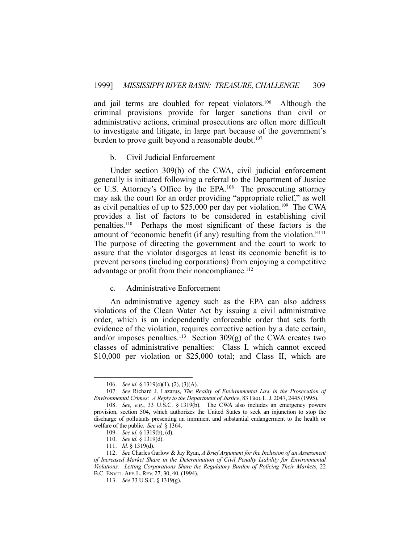and jail terms are doubled for repeat violators.<sup>106</sup> Although the criminal provisions provide for larger sanctions than civil or administrative actions, criminal prosecutions are often more difficult to investigate and litigate, in large part because of the government's burden to prove guilt beyond a reasonable doubt.<sup>107</sup>

#### b. Civil Judicial Enforcement

 Under section 309(b) of the CWA, civil judicial enforcement generally is initiated following a referral to the Department of Justice or U.S. Attorney's Office by the EPA.108 The prosecuting attorney may ask the court for an order providing "appropriate relief," as well as civil penalties of up to  $$25,000$  per day per violation.<sup>109</sup> The CWA provides a list of factors to be considered in establishing civil penalties.110 Perhaps the most significant of these factors is the amount of "economic benefit (if any) resulting from the violation."111 The purpose of directing the government and the court to work to assure that the violator disgorges at least its economic benefit is to prevent persons (including corporations) from enjoying a competitive advantage or profit from their noncompliance.<sup>112</sup>

#### c. Administrative Enforcement

 An administrative agency such as the EPA can also address violations of the Clean Water Act by issuing a civil administrative order, which is an independently enforceable order that sets forth evidence of the violation, requires corrective action by a date certain, and/or imposes penalties.<sup>113</sup> Section 309(g) of the CWA creates two classes of administrative penalties: Class I, which cannot exceed \$10,000 per violation or \$25,000 total; and Class II, which are

 <sup>106.</sup> *See id.* § 1319(c)(1), (2), (3)(A).

 <sup>107.</sup> *See* Richard J. Lazarus, *The Reality of Environmental Law in the Prosecution of Environmental Crimes: A Reply to the Department of Justice*, 83 GEO. L.J. 2047, 2445 (1995).

 <sup>108.</sup> *See, e.g.*, 33 U.S.C. § 1319(b). The CWA also includes an emergency powers provision, section 504, which authorizes the United States to seek an injunction to stop the discharge of pollutants presenting an imminent and substantial endangerment to the health or welfare of the public. *See id.* § 1364.

 <sup>109.</sup> *See id.* § 1319(b), (d).

 <sup>110.</sup> *See id.* § 1319(d).

 <sup>111.</sup> *Id.* § 1319(d).

 <sup>112.</sup> *See* Charles Garlow & Jay Ryan, *A Brief Argument for the Inclusion of an Assessment of Increased Market Share in the Determination of Civil Penalty Liability for Environmental Violations: Letting Corporations Share the Regulatory Burden of Policing Their Markets*, 22 B.C. ENVTL.AFF. L.REV. 27, 30, 40. (1994).

 <sup>113.</sup> *See* 33 U.S.C. § 1319(g).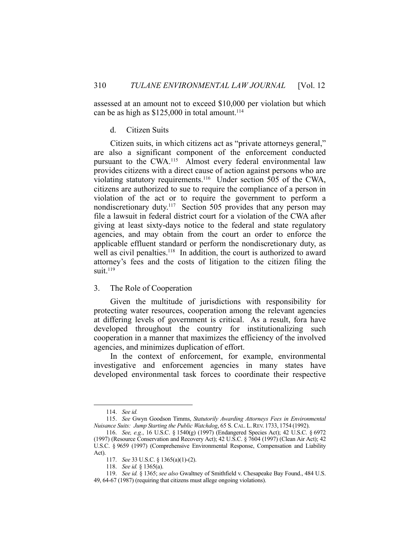assessed at an amount not to exceed \$10,000 per violation but which can be as high as  $$125,000$  in total amount.<sup>114</sup>

#### d. Citizen Suits

 Citizen suits, in which citizens act as "private attorneys general," are also a significant component of the enforcement conducted pursuant to the CWA.<sup>115</sup> Almost every federal environmental law provides citizens with a direct cause of action against persons who are violating statutory requirements.<sup>116</sup> Under section 505 of the CWA, citizens are authorized to sue to require the compliance of a person in violation of the act or to require the government to perform a nondiscretionary duty.<sup>117</sup> Section 505 provides that any person may file a lawsuit in federal district court for a violation of the CWA after giving at least sixty-days notice to the federal and state regulatory agencies, and may obtain from the court an order to enforce the applicable effluent standard or perform the nondiscretionary duty, as well as civil penalties.<sup>118</sup> In addition, the court is authorized to award attorney's fees and the costs of litigation to the citizen filing the suit. $119$ 

#### 3. The Role of Cooperation

 Given the multitude of jurisdictions with responsibility for protecting water resources, cooperation among the relevant agencies at differing levels of government is critical. As a result, fora have developed throughout the country for institutionalizing such cooperation in a manner that maximizes the efficiency of the involved agencies, and minimizes duplication of effort.

 In the context of enforcement, for example, environmental investigative and enforcement agencies in many states have developed environmental task forces to coordinate their respective

 <sup>114.</sup> *See id.*

 <sup>115.</sup> *See* Gwyn Goodson Timms, *Statutorily Awarding Attorneys Fees in Environmental Nuisance Suits: Jump Starting the Public Watchdog*, 65 S. CAL. L.REV. 1733, 1754 (1992).

 <sup>116.</sup> *See, e.g.*, 16 U.S.C. § 1540(g) (1997) (Endangered Species Act); 42 U.S.C. § 6972 (1997) (Resource Conservation and Recovery Act); 42 U.S.C. § 7604 (1997) (Clean Air Act); 42 U.S.C. § 9659 (1997) (Comprehensive Environmental Response, Compensation and Liability Act).

 <sup>117.</sup> *See* 33 U.S.C. § 1365(a)(1)-(2).

 <sup>118.</sup> *See id.* § 1365(a).

 <sup>119.</sup> *See id.* § 1365; *see also* Gwaltney of Smithfield v. Chesapeake Bay Found., 484 U.S. 49, 64-67 (1987) (requiring that citizens must allege ongoing violations).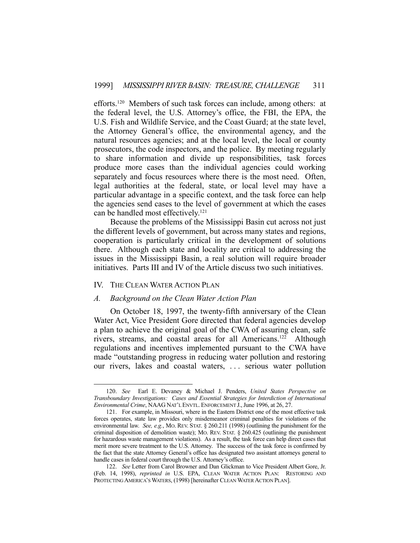efforts.120 Members of such task forces can include, among others: at the federal level, the U.S. Attorney's office, the FBI, the EPA, the U.S. Fish and Wildlife Service, and the Coast Guard; at the state level, the Attorney General's office, the environmental agency, and the natural resources agencies; and at the local level, the local or county prosecutors, the code inspectors, and the police. By meeting regularly to share information and divide up responsibilities, task forces produce more cases than the individual agencies could working separately and focus resources where there is the most need. Often, legal authorities at the federal, state, or local level may have a particular advantage in a specific context, and the task force can help the agencies send cases to the level of government at which the cases can be handled most effectively.<sup>121</sup>

 Because the problems of the Mississippi Basin cut across not just the different levels of government, but across many states and regions, cooperation is particularly critical in the development of solutions there. Although each state and locality are critical to addressing the issues in the Mississippi Basin, a real solution will require broader initiatives. Parts III and IV of the Article discuss two such initiatives.

#### IV. THE CLEAN WATER ACTION PLAN

1

#### *A. Background on the Clean Water Action Plan*

 On October 18, 1997, the twenty-fifth anniversary of the Clean Water Act, Vice President Gore directed that federal agencies develop a plan to achieve the original goal of the CWA of assuring clean, safe rivers, streams, and coastal areas for all Americans.<sup>122</sup> Although regulations and incentives implemented pursuant to the CWA have made "outstanding progress in reducing water pollution and restoring our rivers, lakes and coastal waters, ... serious water pollution

 <sup>120.</sup> *See* Earl E. Devaney & Michael J. Penders, *United States Perspective on Transboundary Investigations: Cases and Essential Strategies for Interdiction of International Environmental Crime*, NAAG NAT'L ENVTL. ENFORCEMENT J.,June 1996, at 26, 27.

 <sup>121.</sup> For example, in Missouri, where in the Eastern District one of the most effective task forces operates, state law provides only misdemeanor criminal penalties for violations of the environmental law. *See, e.g.*, MO. REV. STAT. § 260.211 (1998) (outlining the punishment for the criminal disposition of demolition waste); MO. REV. STAT. § 260.425 (outlining the punishment for hazardous waste management violations). As a result, the task force can help direct cases that merit more severe treatment to the U.S. Attorney. The success of the task force is confirmed by the fact that the state Attorney General's office has designated two assistant attorneys general to handle cases in federal court through the U.S. Attorney's office.

 <sup>122.</sup> *See* Letter from Carol Browner and Dan Glickman to Vice President Albert Gore, Jr. (Feb. 14, 1998), *reprinted in* U.S. EPA, CLEAN WATER ACTION PLAN: RESTORING AND PROTECTING AMERICA'S WATERS, (1998) [hereinafter CLEAN WATER ACTION PLAN].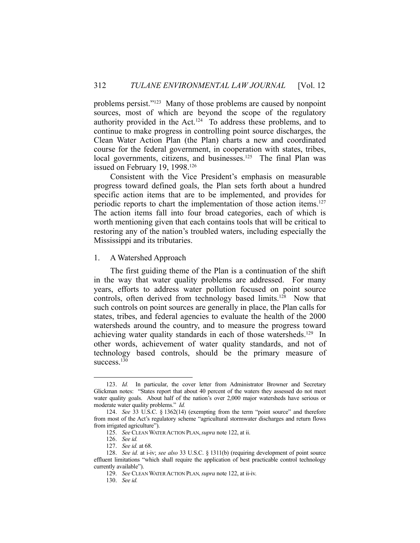problems persist."<sup>123</sup> Many of those problems are caused by nonpoint sources, most of which are beyond the scope of the regulatory authority provided in the Act.124 To address these problems, and to continue to make progress in controlling point source discharges, the Clean Water Action Plan (the Plan) charts a new and coordinated course for the federal government, in cooperation with states, tribes, local governments, citizens, and businesses.<sup>125</sup> The final Plan was issued on February 19, 1998.<sup>126</sup>

 Consistent with the Vice President's emphasis on measurable progress toward defined goals, the Plan sets forth about a hundred specific action items that are to be implemented, and provides for periodic reports to chart the implementation of those action items.127 The action items fall into four broad categories, each of which is worth mentioning given that each contains tools that will be critical to restoring any of the nation's troubled waters, including especially the Mississippi and its tributaries.

1. A Watershed Approach

 The first guiding theme of the Plan is a continuation of the shift in the way that water quality problems are addressed. For many years, efforts to address water pollution focused on point source controls, often derived from technology based limits.<sup>128</sup> Now that such controls on point sources are generally in place, the Plan calls for states, tribes, and federal agencies to evaluate the health of the 2000 watersheds around the country, and to measure the progress toward achieving water quality standards in each of those watersheds.<sup>129</sup> In other words, achievement of water quality standards, and not of technology based controls, should be the primary measure of success.<sup>130</sup>

 <sup>123.</sup> *Id.* In particular, the cover letter from Administrator Browner and Secretary Glickman notes: "States report that about 40 percent of the waters they assessed do not meet water quality goals. About half of the nation's over 2,000 major watersheds have serious or moderate water quality problems." *Id.*

 <sup>124.</sup> *See* 33 U.S.C. § 1362(14) (exempting from the term "point source" and therefore from most of the Act's regulatory scheme "agricultural stormwater discharges and return flows from irrigated agriculture").

 <sup>125.</sup> *See* CLEAN WATER ACTION PLAN,*supra* note 122, at ii.

 <sup>126.</sup> *See id.*

 <sup>127.</sup> *See id.* at 68.

 <sup>128.</sup> *See id.* at i-iv; *see also* 33 U.S.C. § 1311(b) (requiring development of point source effluent limitations "which shall require the application of best practicable control technology currently available").

 <sup>129.</sup> *See* CLEAN WATER ACTION PLAN*,supra* note 122, at ii-iv.

 <sup>130.</sup> *See id.*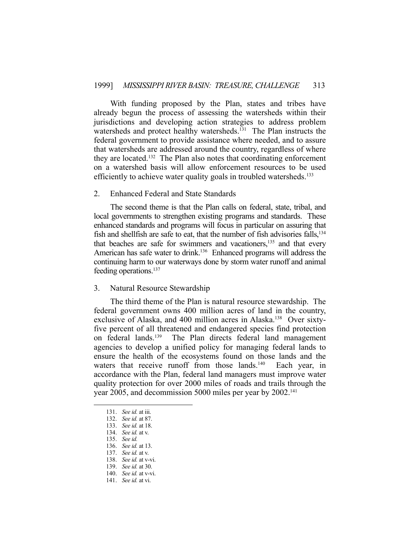With funding proposed by the Plan, states and tribes have already begun the process of assessing the watersheds within their jurisdictions and developing action strategies to address problem watersheds and protect healthy watersheds.<sup>131</sup> The Plan instructs the federal government to provide assistance where needed, and to assure that watersheds are addressed around the country, regardless of where they are located.132 The Plan also notes that coordinating enforcement on a watershed basis will allow enforcement resources to be used efficiently to achieve water quality goals in troubled watersheds.<sup>133</sup>

#### 2. Enhanced Federal and State Standards

 The second theme is that the Plan calls on federal, state, tribal, and local governments to strengthen existing programs and standards. These enhanced standards and programs will focus in particular on assuring that fish and shellfish are safe to eat, that the number of fish advisories falls,<sup>134</sup> that beaches are safe for swimmers and vacationers,<sup>135</sup> and that every American has safe water to drink.136 Enhanced programs will address the continuing harm to our waterways done by storm water runoff and animal feeding operations.137

#### 3. Natural Resource Stewardship

 The third theme of the Plan is natural resource stewardship. The federal government owns 400 million acres of land in the country, exclusive of Alaska, and 400 million acres in Alaska.<sup>138</sup> Over sixtyfive percent of all threatened and endangered species find protection on federal lands.139 The Plan directs federal land management agencies to develop a unified policy for managing federal lands to ensure the health of the ecosystems found on those lands and the waters that receive runoff from those lands.<sup>140</sup> Each year, in accordance with the Plan, federal land managers must improve water quality protection for over 2000 miles of roads and trails through the year 2005, and decommission 5000 miles per year by 2002.141

 <sup>131.</sup> *See id.* at iii.

 <sup>132.</sup> *See id.* at 87.

 <sup>133.</sup> *See id.* at 18.

 <sup>134.</sup> *See id.* at v.

 <sup>135.</sup> *See id.*  136. *See id.* at 13.

 <sup>137.</sup> *See id.* at v. 138. *See id.* at v-vi.

 <sup>139.</sup> *See id.* at 30.

 <sup>140.</sup> *See id.* at v-vi.

 <sup>141.</sup> *See id.* at vi.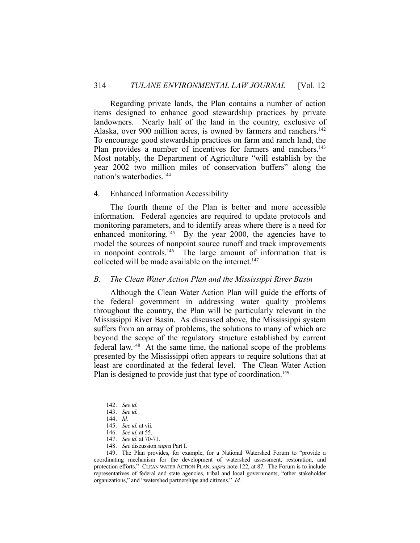Regarding private lands, the Plan contains a number of action items designed to enhance good stewardship practices by private landowners. Nearly half of the land in the country, exclusive of Alaska, over 900 million acres, is owned by farmers and ranchers.<sup>142</sup> To encourage good stewardship practices on farm and ranch land, the Plan provides a number of incentives for farmers and ranchers.<sup>143</sup> Most notably, the Department of Agriculture "will establish by the year 2002 two million miles of conservation buffers" along the nation's waterbodies.144

#### 4. Enhanced Information Accessibility

 The fourth theme of the Plan is better and more accessible information. Federal agencies are required to update protocols and monitoring parameters, and to identify areas where there is a need for enhanced monitoring.<sup>145</sup> By the year 2000, the agencies have to model the sources of nonpoint source runoff and track improvements in nonpoint controls.146 The large amount of information that is collected will be made available on the internet.<sup>147</sup>

#### *B. The Clean Water Action Plan and the Mississippi River Basin*

 Although the Clean Water Action Plan will guide the efforts of the federal government in addressing water quality problems throughout the country, the Plan will be particularly relevant in the Mississippi River Basin. As discussed above, the Mississippi system suffers from an array of problems, the solutions to many of which are beyond the scope of the regulatory structure established by current federal law.148 At the same time, the national scope of the problems presented by the Mississippi often appears to require solutions that at least are coordinated at the federal level. The Clean Water Action Plan is designed to provide just that type of coordination.<sup>149</sup>

 <sup>142.</sup> *See id.* 

 <sup>143.</sup> *See id.* 

 <sup>144.</sup> *Id.*

 <sup>145.</sup> *See id.* at vii.

 <sup>146.</sup> *See id.* at 55.

 <sup>147.</sup> *See id.* at 70-71.

 <sup>148.</sup> *See* discussion *supra* Part I.

 <sup>149.</sup> The Plan provides, for example, for a National Watershed Forum to "provide a coordinating mechanism for the development of watershed assessment, restoration, and protection efforts." CLEAN WATER ACTION PLAN, *supra* note 122, at 87. The Forum is to include representatives of federal and state agencies, tribal and local governments, "other stakeholder organizations," and "watershed partnerships and citizens." *Id.*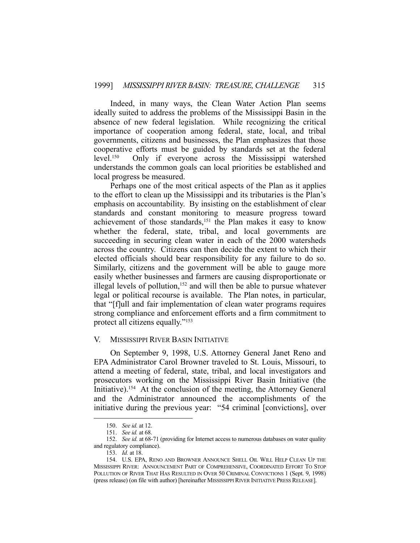Indeed, in many ways, the Clean Water Action Plan seems ideally suited to address the problems of the Mississippi Basin in the absence of new federal legislation. While recognizing the critical importance of cooperation among federal, state, local, and tribal governments, citizens and businesses, the Plan emphasizes that those cooperative efforts must be guided by standards set at the federal level.150 Only if everyone across the Mississippi watershed understands the common goals can local priorities be established and local progress be measured.

 Perhaps one of the most critical aspects of the Plan as it applies to the effort to clean up the Mississippi and its tributaries is the Plan's emphasis on accountability. By insisting on the establishment of clear standards and constant monitoring to measure progress toward achievement of those standards,<sup>151</sup> the Plan makes it easy to know whether the federal, state, tribal, and local governments are succeeding in securing clean water in each of the 2000 watersheds across the country. Citizens can then decide the extent to which their elected officials should bear responsibility for any failure to do so. Similarly, citizens and the government will be able to gauge more easily whether businesses and farmers are causing disproportionate or illegal levels of pollution,<sup>152</sup> and will then be able to pursue whatever legal or political recourse is available. The Plan notes, in particular, that "[f]ull and fair implementation of clean water programs requires strong compliance and enforcement efforts and a firm commitment to protect all citizens equally."153

#### V. MISSISSIPPI RIVER BASIN INITIATIVE

 On September 9, 1998, U.S. Attorney General Janet Reno and EPA Administrator Carol Browner traveled to St. Louis, Missouri, to attend a meeting of federal, state, tribal, and local investigators and prosecutors working on the Mississippi River Basin Initiative (the Initiative).<sup>154</sup> At the conclusion of the meeting, the Attorney General and the Administrator announced the accomplishments of the initiative during the previous year: "54 criminal [convictions], over

 <sup>150.</sup> *See id.* at 12.

 <sup>151.</sup> *See id.* at 68.

 <sup>152.</sup> *See id.* at 68-71 (providing for Internet access to numerous databases on water quality and regulatory compliance).

 <sup>153.</sup> *Id.* at 18.

 <sup>154.</sup> U.S. EPA, RENO AND BROWNER ANNOUNCE SHELL OIL WILL HELP CLEAN UP THE MISSISSIPPI RIVER: ANNOUNCEMENT PART OF COMPREHENSIVE, COORDINATED EFFORT TO STOP POLLUTION OF RIVER THAT HAS RESULTED IN OVER 50 CRIMINAL CONVICTIONS 1 (Sept. 9, 1998) (press release) (on file with author) [hereinafter MISSISSIPPI RIVER INITIATIVE PRESS RELEASE].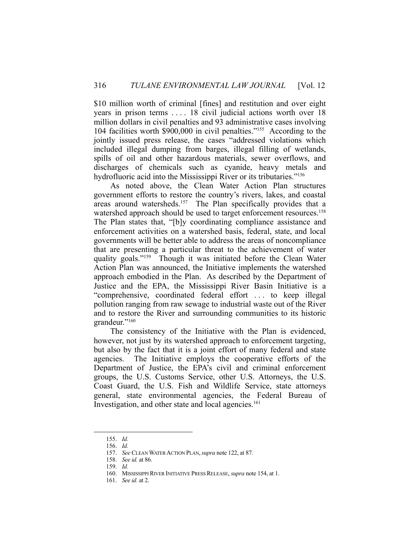\$10 million worth of criminal [fines] and restitution and over eight years in prison terms . . . . 18 civil judicial actions worth over 18 million dollars in civil penalties and 93 administrative cases involving 104 facilities worth \$900,000 in civil penalties."155 According to the jointly issued press release, the cases "addressed violations which included illegal dumping from barges, illegal filling of wetlands, spills of oil and other hazardous materials, sewer overflows, and discharges of chemicals such as cyanide, heavy metals and hydrofluoric acid into the Mississippi River or its tributaries."<sup>156</sup>

 As noted above, the Clean Water Action Plan structures government efforts to restore the country's rivers, lakes, and coastal areas around watersheds.<sup>157</sup> The Plan specifically provides that a watershed approach should be used to target enforcement resources.<sup>158</sup> The Plan states that, "[b]y coordinating compliance assistance and enforcement activities on a watershed basis, federal, state, and local governments will be better able to address the areas of noncompliance that are presenting a particular threat to the achievement of water quality goals."159 Though it was initiated before the Clean Water Action Plan was announced, the Initiative implements the watershed approach embodied in the Plan. As described by the Department of Justice and the EPA, the Mississippi River Basin Initiative is a "comprehensive, coordinated federal effort . . . to keep illegal pollution ranging from raw sewage to industrial waste out of the River and to restore the River and surrounding communities to its historic grandeur."160

 The consistency of the Initiative with the Plan is evidenced, however, not just by its watershed approach to enforcement targeting, but also by the fact that it is a joint effort of many federal and state agencies. The Initiative employs the cooperative efforts of the Department of Justice, the EPA's civil and criminal enforcement groups, the U.S. Customs Service, other U.S. Attorneys, the U.S. Coast Guard, the U.S. Fish and Wildlife Service, state attorneys general, state environmental agencies, the Federal Bureau of Investigation, and other state and local agencies.<sup>161</sup>

 <sup>155.</sup> *Id.* 

 <sup>156.</sup> *Id.*

 <sup>157.</sup> *See* CLEAN WATER ACTION PLAN,*supra* note 122, at 87.

 <sup>158.</sup> *See id.* at 86.

 <sup>159.</sup> *Id.* 

 <sup>160.</sup> MISSISSIPPI RIVER INITIATIVE PRESS RELEASE, *supra* note 154, at 1.

 <sup>161.</sup> *See id.* at 2.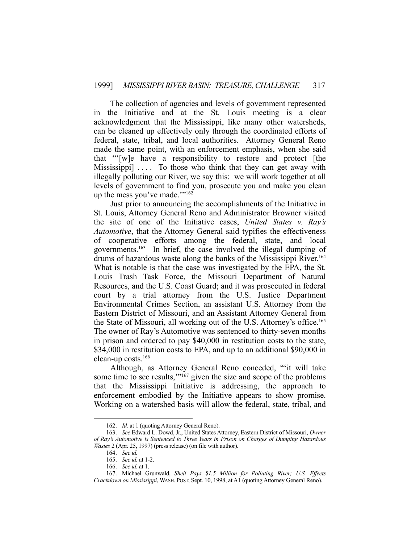The collection of agencies and levels of government represented in the Initiative and at the St. Louis meeting is a clear acknowledgment that the Mississippi, like many other watersheds, can be cleaned up effectively only through the coordinated efforts of federal, state, tribal, and local authorities. Attorney General Reno made the same point, with an enforcement emphasis, when she said that "'[w]e have a responsibility to restore and protect [the Mississippi]  $\ldots$  To those who think that they can get away with illegally polluting our River, we say this: we will work together at all levels of government to find you, prosecute you and make you clean up the mess you've made."<sup>162</sup>

 Just prior to announcing the accomplishments of the Initiative in St. Louis, Attorney General Reno and Administrator Browner visited the site of one of the Initiative cases, *United States v. Ray's Automotive*, that the Attorney General said typifies the effectiveness of cooperative efforts among the federal, state, and local governments.163 In brief, the case involved the illegal dumping of drums of hazardous waste along the banks of the Mississippi River.<sup>164</sup> What is notable is that the case was investigated by the EPA, the St. Louis Trash Task Force, the Missouri Department of Natural Resources, and the U.S. Coast Guard; and it was prosecuted in federal court by a trial attorney from the U.S. Justice Department Environmental Crimes Section, an assistant U.S. Attorney from the Eastern District of Missouri, and an Assistant Attorney General from the State of Missouri, all working out of the U.S. Attorney's office.165 The owner of Ray's Automotive was sentenced to thirty-seven months in prison and ordered to pay \$40,000 in restitution costs to the state, \$34,000 in restitution costs to EPA, and up to an additional \$90,000 in clean-up costs.166

 Although, as Attorney General Reno conceded, "'it will take some time to see results,"<sup>167</sup> given the size and scope of the problems that the Mississippi Initiative is addressing, the approach to enforcement embodied by the Initiative appears to show promise. Working on a watershed basis will allow the federal, state, tribal, and

<sup>162.</sup> *Id.* at 1 (quoting Attorney General Reno).

 <sup>163.</sup> *See* Edward L. Dowd, Jr., United States Attorney, Eastern District of Missouri, *Owner of Ray's Automotive is Sentenced to Three Years in Prison on Charges of Dumping Hazardous Wastes* 2 (Apr. 25, 1997) (press release) (on file with author).

 <sup>164.</sup> *See id.*

 <sup>165.</sup> *See id.* at 1-2.

 <sup>166.</sup> *See id.* at 1.

 <sup>167.</sup> Michael Grunwald, *Shell Pays \$1.5 Million for Polluting River; U.S. Effects Crackdown on Mississippi*, WASH. POST, Sept. 10, 1998, at A1 (quoting Attorney General Reno).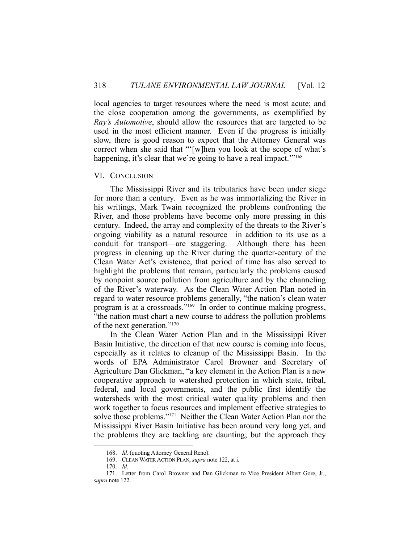local agencies to target resources where the need is most acute; and the close cooperation among the governments, as exemplified by *Ray's Automotive*, should allow the resources that are targeted to be used in the most efficient manner. Even if the progress is initially slow, there is good reason to expect that the Attorney General was correct when she said that "'[w]hen you look at the scope of what's happening, it's clear that we're going to have a real impact."<sup>168</sup>

#### VI. CONCLUSION

 The Mississippi River and its tributaries have been under siege for more than a century. Even as he was immortalizing the River in his writings, Mark Twain recognized the problems confronting the River, and those problems have become only more pressing in this century. Indeed, the array and complexity of the threats to the River's ongoing viability as a natural resource—in addition to its use as a conduit for transport—are staggering. Although there has been progress in cleaning up the River during the quarter-century of the Clean Water Act's existence, that period of time has also served to highlight the problems that remain, particularly the problems caused by nonpoint source pollution from agriculture and by the channeling of the River's waterway. As the Clean Water Action Plan noted in regard to water resource problems generally, "the nation's clean water program is at a crossroads."169 In order to continue making progress, "the nation must chart a new course to address the pollution problems of the next generation."170

 In the Clean Water Action Plan and in the Mississippi River Basin Initiative, the direction of that new course is coming into focus, especially as it relates to cleanup of the Mississippi Basin. In the words of EPA Administrator Carol Browner and Secretary of Agriculture Dan Glickman, "a key element in the Action Plan is a new cooperative approach to watershed protection in which state, tribal, federal, and local governments, and the public first identify the watersheds with the most critical water quality problems and then work together to focus resources and implement effective strategies to solve those problems."171 Neither the Clean Water Action Plan nor the Mississippi River Basin Initiative has been around very long yet, and the problems they are tackling are daunting; but the approach they

 <sup>168.</sup> *Id.* (quoting Attorney General Reno).

 <sup>169.</sup> CLEAN WATER ACTION PLAN, *supra* note 122, at i.

 <sup>170.</sup> *Id.*

 <sup>171.</sup> Letter from Carol Browner and Dan Glickman to Vice President Albert Gore, Jr., *supra* note 122.